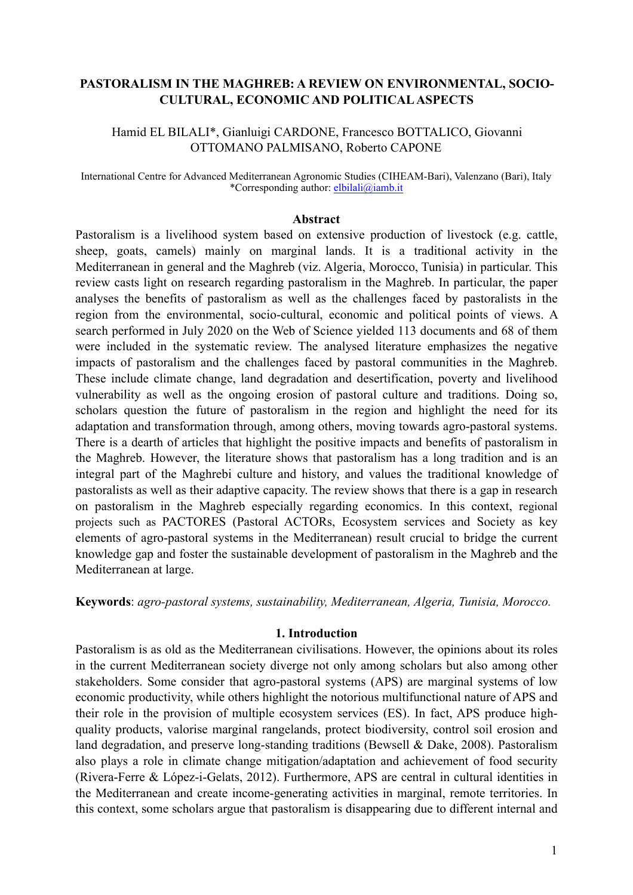# **PASTORALISM IN THE MAGHREB: A REVIEW ON ENVIRONMENTAL, SOCIO-CULTURAL, ECONOMIC AND POLITICAL ASPECTS**

Hamid EL BILALI\*, Gianluigi CARDONE, Francesco BOTTALICO, Giovanni OTTOMANO PALMISANO, Roberto CAPONE

International Centre for Advanced Mediterranean Agronomic Studies (CIHEAM-Bari), Valenzano (Bari), Italy \*Corresponding author: [elbilali@iamb.it](mailto:elbilali@iamb.it)

### **Abstract**

Pastoralism is a livelihood system based on extensive production of livestock (e.g. cattle, sheep, goats, camels) mainly on marginal lands. It is a traditional activity in the Mediterranean in general and the Maghreb (viz. Algeria, Morocco, Tunisia) in particular. This review casts light on research regarding pastoralism in the Maghreb. In particular, the paper analyses the benefits of pastoralism as well as the challenges faced by pastoralists in the region from the environmental, socio-cultural, economic and political points of views. A search performed in July 2020 on the Web of Science yielded 113 documents and 68 of them were included in the systematic review. The analysed literature emphasizes the negative impacts of pastoralism and the challenges faced by pastoral communities in the Maghreb. These include climate change, land degradation and desertification, poverty and livelihood vulnerability as well as the ongoing erosion of pastoral culture and traditions. Doing so, scholars question the future of pastoralism in the region and highlight the need for its adaptation and transformation through, among others, moving towards agro-pastoral systems. There is a dearth of articles that highlight the positive impacts and benefits of pastoralism in the Maghreb. However, the literature shows that pastoralism has a long tradition and is an integral part of the Maghrebi culture and history, and values the traditional knowledge of pastoralists as well as their adaptive capacity. The review shows that there is a gap in research on pastoralism in the Maghreb especially regarding economics. In this context, regional projects such as PACTORES (Pastoral ACTORs, Ecosystem services and Society as key elements of agro-pastoral systems in the Mediterranean) result crucial to bridge the current knowledge gap and foster the sustainable development of pastoralism in the Maghreb and the Mediterranean at large.

**Keywords**: *agro-pastoral systems, sustainability, Mediterranean, Algeria, Tunisia, Morocco.*

## **1. Introduction**

Pastoralism is as old as the Mediterranean civilisations. However, the opinions about its roles in the current Mediterranean society diverge not only among scholars but also among other stakeholders. Some consider that agro-pastoral systems (APS) are marginal systems of low economic productivity, while others highlight the notorious multifunctional nature of APS and their role in the provision of multiple ecosystem services (ES). In fact, APS produce highquality products, valorise marginal rangelands, protect biodiversity, control soil erosion and land degradation, and preserve long-standing traditions (Bewsell & Dake, 2008). Pastoralism also plays a role in climate change mitigation/adaptation and achievement of food security (Rivera-Ferre & López-i-Gelats, 2012). Furthermore, APS are central in cultural identities in the Mediterranean and create income-generating activities in marginal, remote territories. In this context, some scholars argue that pastoralism is disappearing due to different internal and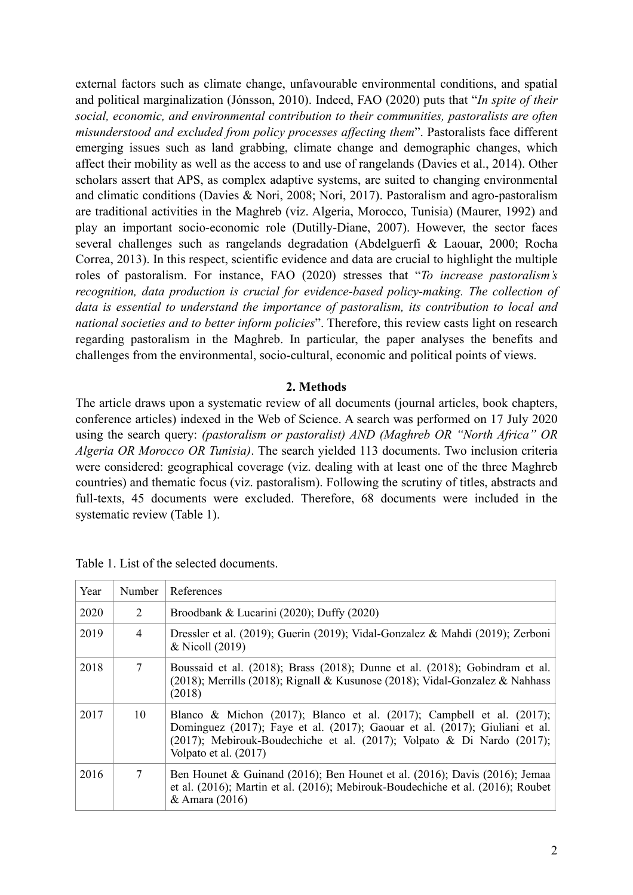external factors such as climate change, unfavourable environmental conditions, and spatial and political marginalization (Jónsson, 2010). Indeed, FAO (2020) puts that "*In spite of their social, economic, and environmental contribution to their communities, pastoralists are often misunderstood and excluded from policy processes affecting them*". Pastoralists face different emerging issues such as land grabbing, climate change and demographic changes, which affect their mobility as well as the access to and use of rangelands (Davies et al., 2014). Other scholars assert that APS, as complex adaptive systems, are suited to changing environmental and climatic conditions (Davies & Nori, 2008; Nori, 2017). Pastoralism and agro-pastoralism are traditional activities in the Maghreb (viz. Algeria, Morocco, Tunisia) (Maurer, 1992) and play an important socio-economic role (Dutilly-Diane, 2007). However, the sector faces several challenges such as rangelands degradation (Abdelguerfi & Laouar, 2000; Rocha Correa, 2013). In this respect, scientific evidence and data are crucial to highlight the multiple roles of pastoralism. For instance, FAO (2020) stresses that "*To increase pastoralism's recognition, data production is crucial for evidence-based policy-making. The collection of data is essential to understand the importance of pastoralism, its contribution to local and national societies and to better inform policies*". Therefore, this review casts light on research regarding pastoralism in the Maghreb. In particular, the paper analyses the benefits and challenges from the environmental, socio-cultural, economic and political points of views.

### **2. Methods**

The article draws upon a systematic review of all documents (journal articles, book chapters, conference articles) indexed in the Web of Science. A search was performed on 17 July 2020 using the search query: *(pastoralism or pastoralist) AND (Maghreb OR "North Africa" OR Algeria OR Morocco OR Tunisia)*. The search yielded 113 documents. Two inclusion criteria were considered: geographical coverage (viz. dealing with at least one of the three Maghreb countries) and thematic focus (viz. pastoralism). Following the scrutiny of titles, abstracts and full-texts, 45 documents were excluded. Therefore, 68 documents were included in the systematic review (Table 1).

| Year | Number | References                                                                                                                                                                                                                                                         |
|------|--------|--------------------------------------------------------------------------------------------------------------------------------------------------------------------------------------------------------------------------------------------------------------------|
| 2020 | 2      | Broodbank & Lucarini $(2020)$ ; Duffy $(2020)$                                                                                                                                                                                                                     |
| 2019 | 4      | Dressler et al. (2019); Guerin (2019); Vidal-Gonzalez & Mahdi (2019); Zerboni<br>& Nicoll (2019)                                                                                                                                                                   |
| 2018 | 7      | Boussaid et al. (2018); Brass (2018); Dunne et al. (2018); Gobindram et al.<br>(2018); Merrills (2018); Rignall & Kusunose (2018); Vidal-Gonzalez & Nahhass<br>(2018)                                                                                              |
| 2017 | 10     | Blanco & Michon (2017); Blanco et al. (2017); Campbell et al. (2017);<br>Dominguez (2017); Faye et al. (2017); Gaouar et al. (2017); Giuliani et al.<br>$(2017)$ ; Mebirouk-Boudechiche et al. $(2017)$ ; Volpato & Di Nardo $(2017)$ ;<br>Volpato et al. $(2017)$ |
| 2016 | 7      | Ben Hounet & Guinand (2016); Ben Hounet et al. (2016); Davis (2016); Jemaa<br>et al. (2016); Martin et al. (2016); Mebirouk-Boudechiche et al. (2016); Roubet<br>& Amara (2016)                                                                                    |

Table 1. List of the selected documents.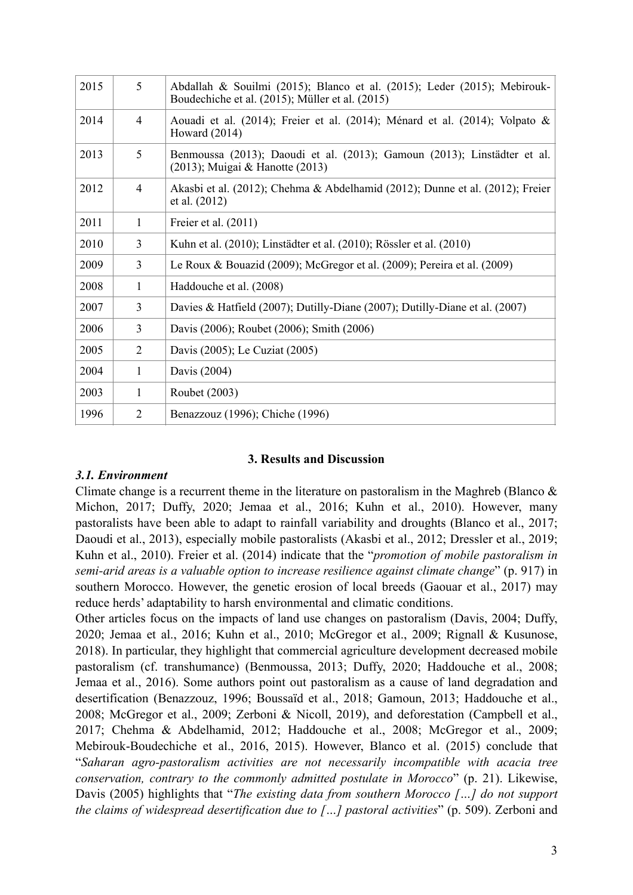| 2015 | 5              | Abdallah & Souilmi (2015); Blanco et al. (2015); Leder (2015); Mebirouk-<br>Boudechiche et al. (2015); Müller et al. (2015) |
|------|----------------|-----------------------------------------------------------------------------------------------------------------------------|
| 2014 | 4              | Aouadi et al. (2014); Freier et al. (2014); Ménard et al. (2014); Volpato &<br>Howard $(2014)$                              |
| 2013 | 5              | Benmoussa (2013); Daoudi et al. (2013); Gamoun (2013); Linstädter et al.<br>(2013); Muigai & Hanotte (2013)                 |
| 2012 | $\overline{4}$ | Akasbi et al. (2012); Chehma & Abdelhamid (2012); Dunne et al. (2012); Freier<br>et al. (2012)                              |
| 2011 | 1              | Freier et al. (2011)                                                                                                        |
| 2010 | 3              | Kuhn et al. (2010); Linstädter et al. (2010); Rössler et al. (2010)                                                         |
| 2009 | 3              | Le Roux & Bouazid (2009); McGregor et al. (2009); Pereira et al. (2009)                                                     |
| 2008 | 1              | Haddouche et al. (2008)                                                                                                     |
| 2007 | 3              | Davies & Hatfield (2007); Dutilly-Diane (2007); Dutilly-Diane et al. (2007)                                                 |
| 2006 | $\overline{3}$ | Davis (2006); Roubet (2006); Smith (2006)                                                                                   |
| 2005 | 2              | Davis (2005); Le Cuziat (2005)                                                                                              |
| 2004 | 1              | Davis (2004)                                                                                                                |
| 2003 | 1              | Roubet (2003)                                                                                                               |
| 1996 | $\overline{2}$ | Benazzouz (1996); Chiche (1996)                                                                                             |

## **3. Results and Discussion**

## *3.1. Environment*

Climate change is a recurrent theme in the literature on pastoralism in the Maghreb (Blanco  $\&$ Michon, 2017; Duffy, 2020; Jemaa et al., 2016; Kuhn et al., 2010). However, many pastoralists have been able to adapt to rainfall variability and droughts (Blanco et al., 2017; Daoudi et al., 2013), especially mobile pastoralists (Akasbi et al., 2012; Dressler et al., 2019; Kuhn et al., 2010). Freier et al. (2014) indicate that the "*promotion of mobile pastoralism in semi-arid areas is a valuable option to increase resilience against climate change*" (p. 917) in southern Morocco. However, the genetic erosion of local breeds (Gaouar et al., 2017) may reduce herds' adaptability to harsh environmental and climatic conditions.

Other articles focus on the impacts of land use changes on pastoralism (Davis, 2004; Duffy, 2020; Jemaa et al., 2016; Kuhn et al., 2010; McGregor et al., 2009; Rignall & Kusunose, 2018). In particular, they highlight that commercial agriculture development decreased mobile pastoralism (cf. transhumance) (Benmoussa, 2013; Duffy, 2020; Haddouche et al., 2008; Jemaa et al., 2016). Some authors point out pastoralism as a cause of land degradation and desertification (Benazzouz, 1996; Boussaïd et al., 2018; Gamoun, 2013; Haddouche et al., 2008; McGregor et al., 2009; Zerboni & Nicoll, 2019), and deforestation (Campbell et al., 2017; Chehma & Abdelhamid, 2012; Haddouche et al., 2008; McGregor et al., 2009; Mebirouk-Boudechiche et al., 2016, 2015). However, Blanco et al. (2015) conclude that "*Saharan agro-pastoralism activities are not necessarily incompatible with acacia tree conservation, contrary to the commonly admitted postulate in Morocco*" (p. 21). Likewise, Davis (2005) highlights that "*The existing data from southern Morocco […] do not support the claims of widespread desertification due to […] pastoral activities*" (p. 509). Zerboni and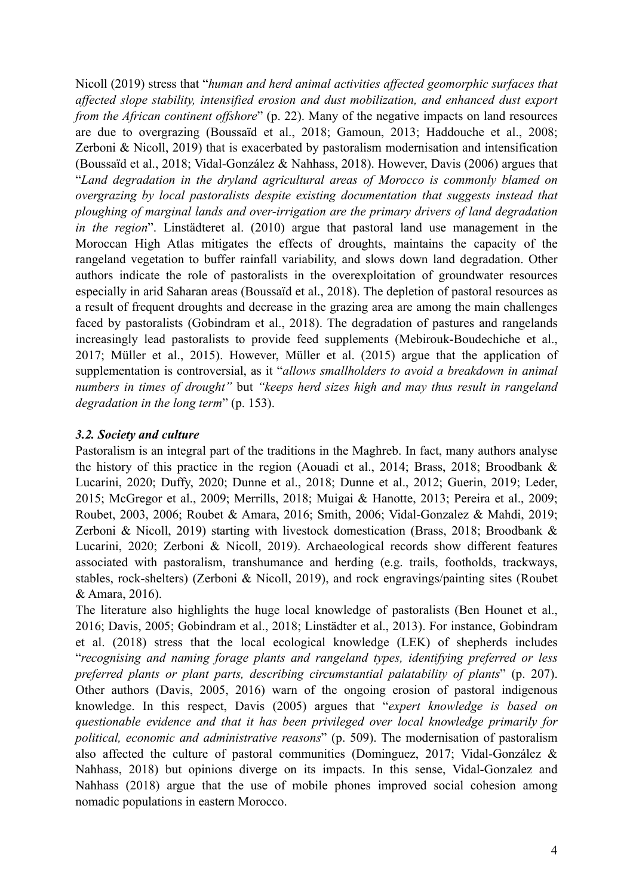Nicoll (2019) stress that "*human and herd animal activities affected geomorphic surfaces that affected slope stability, intensified erosion and dust mobilization, and enhanced dust export from the African continent offshore*" (p. 22). Many of the negative impacts on land resources are due to overgrazing (Boussaïd et al., 2018; Gamoun, 2013; Haddouche et al., 2008; Zerboni & Nicoll, 2019) that is exacerbated by pastoralism modernisation and intensification (Boussaïd et al., 2018; Vidal-González & Nahhass, 2018). However, Davis (2006) argues that "*Land degradation in the dryland agricultural areas of Morocco is commonly blamed on overgrazing by local pastoralists despite existing documentation that suggests instead that ploughing of marginal lands and over-irrigation are the primary drivers of land degradation in the region*". Linstädteret al. (2010) argue that pastoral land use management in the Moroccan High Atlas mitigates the effects of droughts, maintains the capacity of the rangeland vegetation to buffer rainfall variability, and slows down land degradation. Other authors indicate the role of pastoralists in the overexploitation of groundwater resources especially in arid Saharan areas (Boussaïd et al., 2018). The depletion of pastoral resources as a result of frequent droughts and decrease in the grazing area are among the main challenges faced by pastoralists (Gobindram et al., 2018). The degradation of pastures and rangelands increasingly lead pastoralists to provide feed supplements (Mebirouk-Boudechiche et al., 2017; Müller et al., 2015). However, Müller et al. (2015) argue that the application of supplementation is controversial, as it "*allows smallholders to avoid a breakdown in animal numbers in times of drought"* but *"keeps herd sizes high and may thus result in rangeland degradation in the long term*" (p. 153).

# *3.2. Society and culture*

Pastoralism is an integral part of the traditions in the Maghreb. In fact, many authors analyse the history of this practice in the region (Aouadi et al., 2014; Brass, 2018; Broodbank & Lucarini, 2020; Duffy, 2020; Dunne et al., 2018; Dunne et al., 2012; Guerin, 2019; Leder, 2015; McGregor et al., 2009; Merrills, 2018; Muigai & Hanotte, 2013; Pereira et al., 2009; Roubet, 2003, 2006; Roubet & Amara, 2016; Smith, 2006; Vidal-Gonzalez & Mahdi, 2019; Zerboni & Nicoll, 2019) starting with livestock domestication (Brass, 2018; Broodbank & Lucarini, 2020; Zerboni & Nicoll, 2019). Archaeological records show different features associated with pastoralism, transhumance and herding (e.g. trails, footholds, trackways, stables, rock-shelters) (Zerboni & Nicoll, 2019), and rock engravings/painting sites (Roubet & Amara, 2016).

The literature also highlights the huge local knowledge of pastoralists (Ben Hounet et al., 2016; Davis, 2005; Gobindram et al., 2018; Linstädter et al., 2013). For instance, Gobindram et al. (2018) stress that the local ecological knowledge (LEK) of shepherds includes "*recognising and naming forage plants and rangeland types, identifying preferred or less preferred plants or plant parts, describing circumstantial palatability of plants*" (p. 207). Other authors (Davis, 2005, 2016) warn of the ongoing erosion of pastoral indigenous knowledge. In this respect, Davis (2005) argues that "*expert knowledge is based on questionable evidence and that it has been privileged over local knowledge primarily for political, economic and administrative reasons*" (p. 509). The modernisation of pastoralism also affected the culture of pastoral communities (Dominguez, 2017; Vidal-González & Nahhass, 2018) but opinions diverge on its impacts. In this sense, Vidal-Gonzalez and Nahhass (2018) argue that the use of mobile phones improved social cohesion among nomadic populations in eastern Morocco.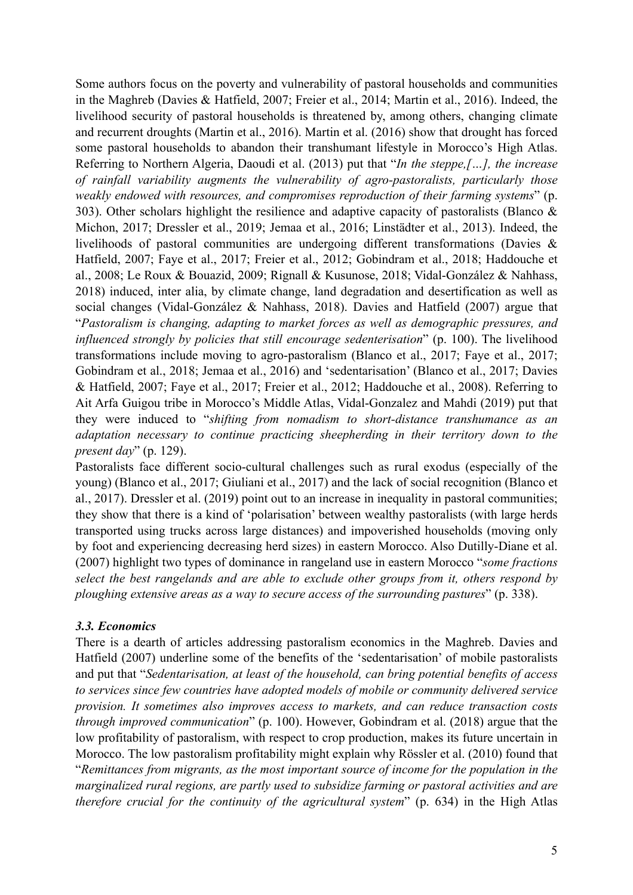Some authors focus on the poverty and vulnerability of pastoral households and communities in the Maghreb (Davies & Hatfield, 2007; Freier et al., 2014; Martin et al., 2016). Indeed, the livelihood security of pastoral households is threatened by, among others, changing climate and recurrent droughts (Martin et al., 2016). Martin et al. (2016) show that drought has forced some pastoral households to abandon their transhumant lifestyle in Morocco's High Atlas. Referring to Northern Algeria, Daoudi et al. (2013) put that "*In the steppe,[…], the increase of rainfall variability augments the vulnerability of agro-pastoralists, particularly those weakly endowed with resources, and compromises reproduction of their farming systems*" (p. 303). Other scholars highlight the resilience and adaptive capacity of pastoralists (Blanco  $\&$ Michon, 2017; Dressler et al., 2019; Jemaa et al., 2016; Linstädter et al., 2013). Indeed, the livelihoods of pastoral communities are undergoing different transformations (Davies & Hatfield, 2007; Faye et al., 2017; Freier et al., 2012; Gobindram et al., 2018; Haddouche et al., 2008; Le Roux & Bouazid, 2009; Rignall & Kusunose, 2018; Vidal-González & Nahhass, 2018) induced, inter alia, by climate change, land degradation and desertification as well as social changes (Vidal-González & Nahhass, 2018). Davies and Hatfield (2007) argue that "*Pastoralism is changing, adapting to market forces as well as demographic pressures, and influenced strongly by policies that still encourage sedenterisation*" (p. 100). The livelihood transformations include moving to agro-pastoralism (Blanco et al., 2017; Faye et al., 2017; Gobindram et al., 2018; Jemaa et al., 2016) and 'sedentarisation' (Blanco et al., 2017; Davies & Hatfield, 2007; Faye et al., 2017; Freier et al., 2012; Haddouche et al., 2008). Referring to Ait Arfa Guigou tribe in Morocco's Middle Atlas, Vidal-Gonzalez and Mahdi (2019) put that they were induced to "*shifting from nomadism to short-distance transhumance as an adaptation necessary to continue practicing sheepherding in their territory down to the present day*" (p. 129).

Pastoralists face different socio-cultural challenges such as rural exodus (especially of the young) (Blanco et al., 2017; Giuliani et al., 2017) and the lack of social recognition (Blanco et al., 2017). Dressler et al. (2019) point out to an increase in inequality in pastoral communities; they show that there is a kind of 'polarisation' between wealthy pastoralists (with large herds transported using trucks across large distances) and impoverished households (moving only by foot and experiencing decreasing herd sizes) in eastern Morocco. Also Dutilly-Diane et al. (2007) highlight two types of dominance in rangeland use in eastern Morocco "*some fractions select the best rangelands and are able to exclude other groups from it, others respond by ploughing extensive areas as a way to secure access of the surrounding pastures*" (p. 338).

# *3.3. Economics*

There is a dearth of articles addressing pastoralism economics in the Maghreb. Davies and Hatfield (2007) underline some of the benefits of the 'sedentarisation' of mobile pastoralists and put that "*Sedentarisation, at least of the household, can bring potential benefits of access to services since few countries have adopted models of mobile or community delivered service provision. It sometimes also improves access to markets, and can reduce transaction costs through improved communication*" (p. 100). However, Gobindram et al. (2018) argue that the low profitability of pastoralism, with respect to crop production, makes its future uncertain in Morocco. The low pastoralism profitability might explain why Rössler et al. (2010) found that "*Remittances from migrants, as the most important source of income for the population in the marginalized rural regions, are partly used to subsidize farming or pastoral activities and are therefore crucial for the continuity of the agricultural system*" (p. 634) in the High Atlas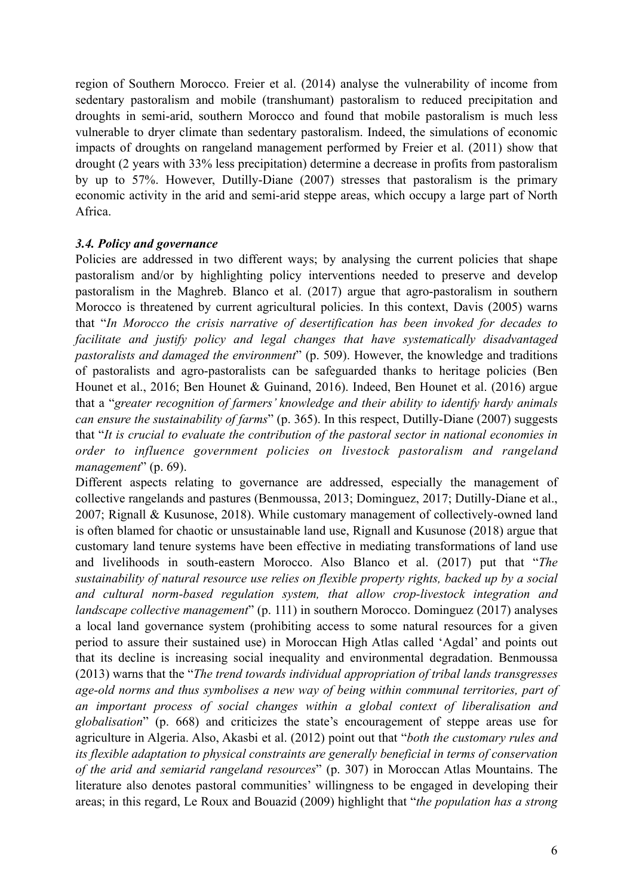region of Southern Morocco. Freier et al. (2014) analyse the vulnerability of income from sedentary pastoralism and mobile (transhumant) pastoralism to reduced precipitation and droughts in semi-arid, southern Morocco and found that mobile pastoralism is much less vulnerable to dryer climate than sedentary pastoralism. Indeed, the simulations of economic impacts of droughts on rangeland management performed by Freier et al. (2011) show that drought (2 years with 33% less precipitation) determine a decrease in profits from pastoralism by up to 57%. However, Dutilly-Diane (2007) stresses that pastoralism is the primary economic activity in the arid and semi-arid steppe areas, which occupy a large part of North Africa.

# *3.4. Policy and governance*

Policies are addressed in two different ways; by analysing the current policies that shape pastoralism and/or by highlighting policy interventions needed to preserve and develop pastoralism in the Maghreb. Blanco et al. (2017) argue that agro-pastoralism in southern Morocco is threatened by current agricultural policies. In this context, Davis (2005) warns that "*In Morocco the crisis narrative of desertification has been invoked for decades to facilitate and justify policy and legal changes that have systematically disadvantaged pastoralists and damaged the environment*" (p. 509). However, the knowledge and traditions of pastoralists and agro-pastoralists can be safeguarded thanks to heritage policies (Ben Hounet et al., 2016; Ben Hounet & Guinand, 2016). Indeed, Ben Hounet et al. (2016) argue that a "*greater recognition of farmers' knowledge and their ability to identify hardy animals can ensure the sustainability of farms*" (p. 365). In this respect, Dutilly-Diane (2007) suggests that "*It is crucial to evaluate the contribution of the pastoral sector in national economies in order to influence government policies on livestock pastoralism and rangeland management*" (p. 69).

Different aspects relating to governance are addressed, especially the management of collective rangelands and pastures (Benmoussa, 2013; Dominguez, 2017; Dutilly-Diane et al., 2007; Rignall & Kusunose, 2018). While customary management of collectively-owned land is often blamed for chaotic or unsustainable land use, Rignall and Kusunose (2018) argue that customary land tenure systems have been effective in mediating transformations of land use and livelihoods in south-eastern Morocco. Also Blanco et al. (2017) put that "*The sustainability of natural resource use relies on flexible property rights, backed up by a social and cultural norm-based regulation system, that allow crop-livestock integration and landscape collective management*" (p. 111) in southern Morocco. Dominguez (2017) analyses a local land governance system (prohibiting access to some natural resources for a given period to assure their sustained use) in Moroccan High Atlas called 'Agdal' and points out that its decline is increasing social inequality and environmental degradation. Benmoussa (2013) warns that the "*The trend towards individual appropriation of tribal lands transgresses age-old norms and thus symbolises a new way of being within communal territories, part of an important process of social changes within a global context of liberalisation and globalisation*" (p. 668) and criticizes the state's encouragement of steppe areas use for agriculture in Algeria. Also, Akasbi et al. (2012) point out that "*both the customary rules and its flexible adaptation to physical constraints are generally beneficial in terms of conservation of the arid and semiarid rangeland resources*" (p. 307) in Moroccan Atlas Mountains. The literature also denotes pastoral communities' willingness to be engaged in developing their areas; in this regard, Le Roux and Bouazid (2009) highlight that "*the population has a strong*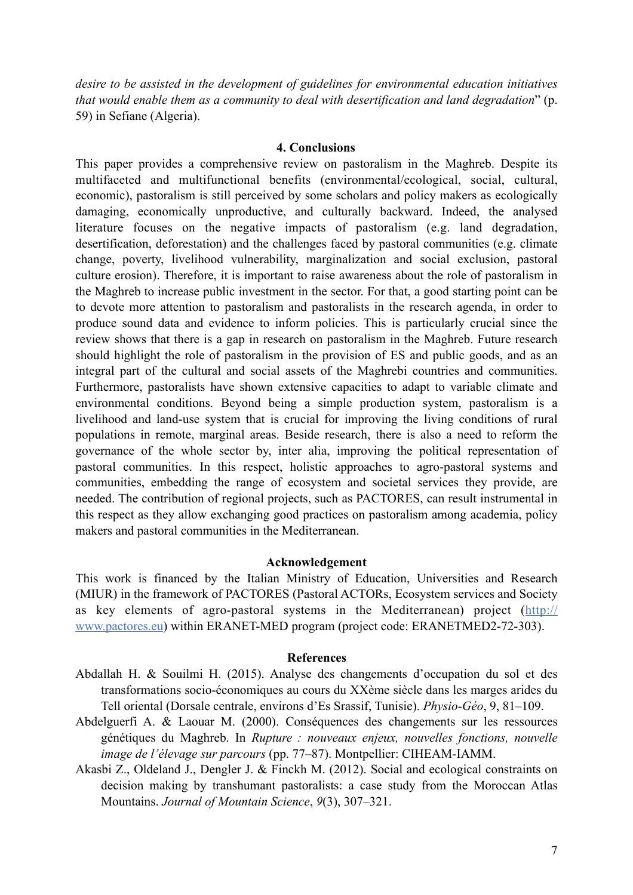*desire to be assisted in the development of guidelines for environmental education initiatives that would enable them as a community to deal with desertification and land degradation*" (p. 59) in Sefiane (Algeria).

### **4. Conclusions**

This paper provides a comprehensive review on pastoralism in the Maghreb. Despite its multifaceted and multifunctional benefits (environmental/ecological, social, cultural, economic), pastoralism is still perceived by some scholars and policy makers as ecologically damaging, economically unproductive, and culturally backward. Indeed, the analysed literature focuses on the negative impacts of pastoralism (e.g. land degradation, desertification, deforestation) and the challenges faced by pastoral communities (e.g. climate change, poverty, livelihood vulnerability, marginalization and social exclusion, pastoral culture erosion). Therefore, it is important to raise awareness about the role of pastoralism in the Maghreb to increase public investment in the sector. For that, a good starting point can be to devote more attention to pastoralism and pastoralists in the research agenda, in order to produce sound data and evidence to inform policies. This is particularly crucial since the review shows that there is a gap in research on pastoralism in the Maghreb. Future research should highlight the role of pastoralism in the provision of ES and public goods, and as an integral part of the cultural and social assets of the Maghrebi countries and communities. Furthermore, pastoralists have shown extensive capacities to adapt to variable climate and environmental conditions. Beyond being a simple production system, pastoralism is a livelihood and land-use system that is crucial for improving the living conditions of rural populations in remote, marginal areas. Beside research, there is also a need to reform the governance of the whole sector by, inter alia, improving the political representation of pastoral communities. In this respect, holistic approaches to agro-pastoral systems and communities, embedding the range of ecosystem and societal services they provide, are needed. The contribution of regional projects, such as PACTORES, can result instrumental in this respect as they allow exchanging good practices on pastoralism among academia, policy makers and pastoral communities in the Mediterranean.

### **Acknowledgement**

This work is financed by the Italian Ministry of Education, Universities and Research (MIUR) in the framework of PACTORES (Pastoral ACTORs, Ecosystem services and Society as key elements of agro-pastoral systems in the Mediterranean) project ([http://](http://www.pactores.eu) [www.pactores.eu](http://www.pactores.eu)) within ERANET-MED program (project code: ERANETMED2-72-303).

### **References**

- Abdallah H. & Souilmi H. (2015). Analyse des changements d'occupation du sol et des transformations socio-économiques au cours du XXème siècle dans les marges arides du Tell oriental (Dorsale centrale, environs d'Es Srassif, Tunisie). *Physio-Géo*, 9, 81–109.
- Abdelguerfi A. & Laouar M. (2000). Conséquences des changements sur les ressources génétiques du Maghreb. In *Rupture : nouveaux enjeux, nouvelles fonctions, nouvelle image de l'élevage sur parcours* (pp. 77–87). Montpellier: CIHEAM-IAMM.
- Akasbi Z., Oldeland J., Dengler J. & Finckh M. (2012). Social and ecological constraints on decision making by transhumant pastoralists: a case study from the Moroccan Atlas Mountains. *Journal of Mountain Science*, *9*(3), 307–321.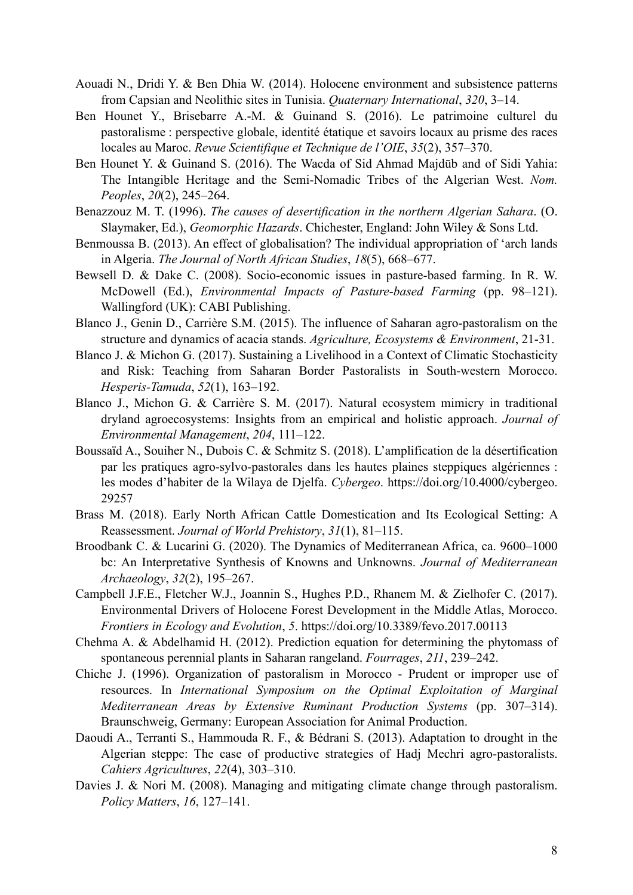- Aouadi N., Dridi Y. & Ben Dhia W. (2014). Holocene environment and subsistence patterns from Capsian and Neolithic sites in Tunisia. *Quaternary International*, *320*, 3–14.
- Ben Hounet Y., Brisebarre A.-M. & Guinand S. (2016). Le patrimoine culturel du pastoralisme : perspective globale, identité étatique et savoirs locaux au prisme des races locales au Maroc. *Revue Scientifique et Technique de l'OIE*, *35*(2), 357–370.
- Ben Hounet Y. & Guinand S. (2016). The Wacda of Sid Ahmad Majdūb and of Sidi Yahia: The Intangible Heritage and the Semi-Nomadic Tribes of the Algerian West. *Nom. Peoples*, *20*(2), 245–264.
- Benazzouz M. T. (1996). *The causes of desertification in the northern Algerian Sahara*. (O. Slaymaker, Ed.), *Geomorphic Hazards*. Chichester, England: John Wiley & Sons Ltd.
- Benmoussa B. (2013). An effect of globalisation? The individual appropriation of 'arch lands in Algeria. *The Journal of North African Studies*, *18*(5), 668–677.
- Bewsell D. & Dake C. (2008). Socio-economic issues in pasture-based farming. In R. W. McDowell (Ed.), *Environmental Impacts of Pasture-based Farming* (pp. 98–121). Wallingford (UK): CABI Publishing.
- Blanco J., Genin D., Carrière S.M. (2015). The influence of Saharan agro-pastoralism on the structure and dynamics of acacia stands. *Agriculture, Ecosystems & Environment*, 21-31.
- Blanco J. & Michon G. (2017). Sustaining a Livelihood in a Context of Climatic Stochasticity and Risk: Teaching from Saharan Border Pastoralists in South-western Morocco. *Hesperis-Tamuda*, *52*(1), 163–192.
- Blanco J., Michon G. & Carrière S. M. (2017). Natural ecosystem mimicry in traditional dryland agroecosystems: Insights from an empirical and holistic approach. *Journal of Environmental Management*, *204*, 111–122.
- Boussaïd A., Souiher N., Dubois C. & Schmitz S. (2018). L'amplification de la désertification par les pratiques agro-sylvo-pastorales dans les hautes plaines steppiques algériennes : les modes d'habiter de la Wilaya de Djelfa. *Cybergeo*. https://doi.org/10.4000/cybergeo. 29257
- Brass M. (2018). Early North African Cattle Domestication and Its Ecological Setting: A Reassessment. *Journal of World Prehistory*, *31*(1), 81–115.
- Broodbank C. & Lucarini G. (2020). The Dynamics of Mediterranean Africa, ca. 9600–1000 bc: An Interpretative Synthesis of Knowns and Unknowns. *Journal of Mediterranean Archaeology*, *32*(2), 195–267.
- Campbell J.F.E., Fletcher W.J., Joannin S., Hughes P.D., Rhanem M. & Zielhofer C. (2017). Environmental Drivers of Holocene Forest Development in the Middle Atlas, Morocco. *Frontiers in Ecology and Evolution*, *5*. https://doi.org/10.3389/fevo.2017.00113
- Chehma A. & Abdelhamid H. (2012). Prediction equation for determining the phytomass of spontaneous perennial plants in Saharan rangeland. *Fourrages*, *211*, 239–242.
- Chiche J. (1996). Organization of pastoralism in Morocco Prudent or improper use of resources. In *International Symposium on the Optimal Exploitation of Marginal Mediterranean Areas by Extensive Ruminant Production Systems* (pp. 307–314). Braunschweig, Germany: European Association for Animal Production.
- Daoudi A., Terranti S., Hammouda R. F., & Bédrani S. (2013). Adaptation to drought in the Algerian steppe: The case of productive strategies of Hadj Mechri agro-pastoralists. *Cahiers Agricultures*, *22*(4), 303–310.
- Davies J. & Nori M. (2008). Managing and mitigating climate change through pastoralism. *Policy Matters*, *16*, 127–141.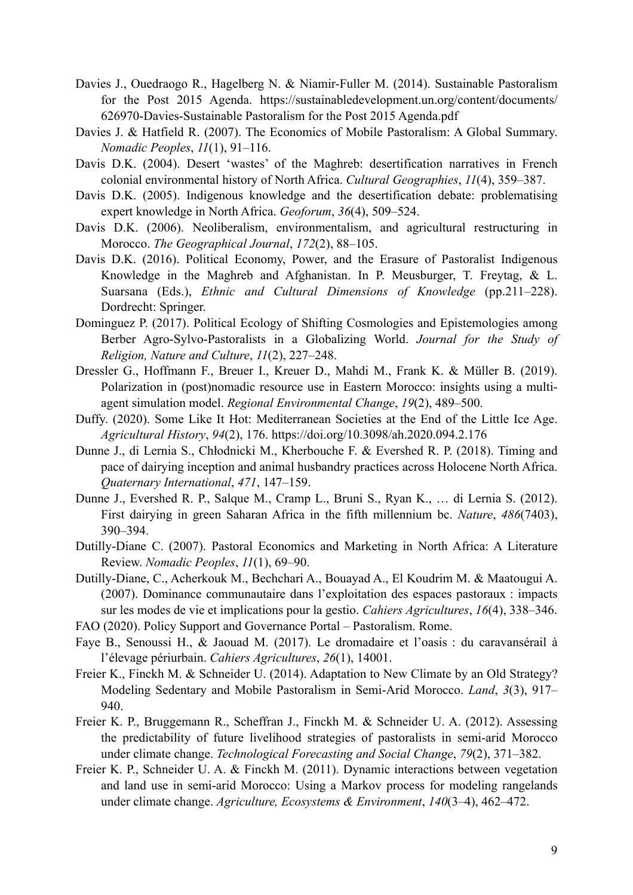- Davies J., Ouedraogo R., Hagelberg N. & Niamir-Fuller M. (2014). Sustainable Pastoralism for the Post 2015 Agenda. https://sustainabledevelopment.un.org/content/documents/ 626970-Davies-Sustainable Pastoralism for the Post 2015 Agenda.pdf
- Davies J. & Hatfield R. (2007). The Economics of Mobile Pastoralism: A Global Summary. *Nomadic Peoples*, *11*(1), 91–116.
- Davis D.K. (2004). Desert 'wastes' of the Maghreb: desertification narratives in French colonial environmental history of North Africa. *Cultural Geographies*, *11*(4), 359–387.
- Davis D.K. (2005). Indigenous knowledge and the desertification debate: problematising expert knowledge in North Africa. *Geoforum*, *36*(4), 509–524.
- Davis D.K. (2006). Neoliberalism, environmentalism, and agricultural restructuring in Morocco. *The Geographical Journal*, *172*(2), 88–105.
- Davis D.K. (2016). Political Economy, Power, and the Erasure of Pastoralist Indigenous Knowledge in the Maghreb and Afghanistan. In P. Meusburger, T. Freytag, & L. Suarsana (Eds.), *Ethnic and Cultural Dimensions of Knowledge* (pp.211–228). Dordrecht: Springer.
- Dominguez P. (2017). Political Ecology of Shifting Cosmologies and Epistemologies among Berber Agro-Sylvo-Pastoralists in a Globalizing World. *Journal for the Study of Religion, Nature and Culture*, *11*(2), 227–248.
- Dressler G., Hoffmann F., Breuer I., Kreuer D., Mahdi M., Frank K. & Müller B. (2019). Polarization in (post)nomadic resource use in Eastern Morocco: insights using a multiagent simulation model. *Regional Environmental Change*, *19*(2), 489–500.
- Duffy. (2020). Some Like It Hot: Mediterranean Societies at the End of the Little Ice Age. *Agricultural History*, *94*(2), 176. https://doi.org/10.3098/ah.2020.094.2.176
- Dunne J., di Lernia S., Chłodnicki M., Kherbouche F. & Evershed R. P. (2018). Timing and pace of dairying inception and animal husbandry practices across Holocene North Africa. *Quaternary International*, *471*, 147–159.
- Dunne J., Evershed R. P., Salque M., Cramp L., Bruni S., Ryan K., … di Lernia S. (2012). First dairying in green Saharan Africa in the fifth millennium bc. *Nature*, *486*(7403), 390–394.
- Dutilly-Diane C. (2007). Pastoral Economics and Marketing in North Africa: A Literature Review. *Nomadic Peoples*, *11*(1), 69–90.
- Dutilly-Diane, C., Acherkouk M., Bechchari A., Bouayad A., El Koudrim M. & Maatougui A. (2007). Dominance communautaire dans l'exploitation des espaces pastoraux : impacts sur les modes de vie et implications pour la gestio. *Cahiers Agricultures*, *16*(4), 338–346.
- FAO (2020). Policy Support and Governance Portal Pastoralism. Rome.
- Faye B., Senoussi H., & Jaouad M. (2017). Le dromadaire et l'oasis : du caravansérail à l'élevage périurbain. *Cahiers Agricultures*, *26*(1), 14001.
- Freier K., Finckh M. & Schneider U. (2014). Adaptation to New Climate by an Old Strategy? Modeling Sedentary and Mobile Pastoralism in Semi-Arid Morocco. *Land*, *3*(3), 917– 940.
- Freier K. P., Bruggemann R., Scheffran J., Finckh M. & Schneider U. A. (2012). Assessing the predictability of future livelihood strategies of pastoralists in semi-arid Morocco under climate change. *Technological Forecasting and Social Change*, *79*(2), 371–382.
- Freier K. P., Schneider U. A. & Finckh M. (2011). Dynamic interactions between vegetation and land use in semi-arid Morocco: Using a Markov process for modeling rangelands under climate change. *Agriculture, Ecosystems & Environment*, *140*(3–4), 462–472.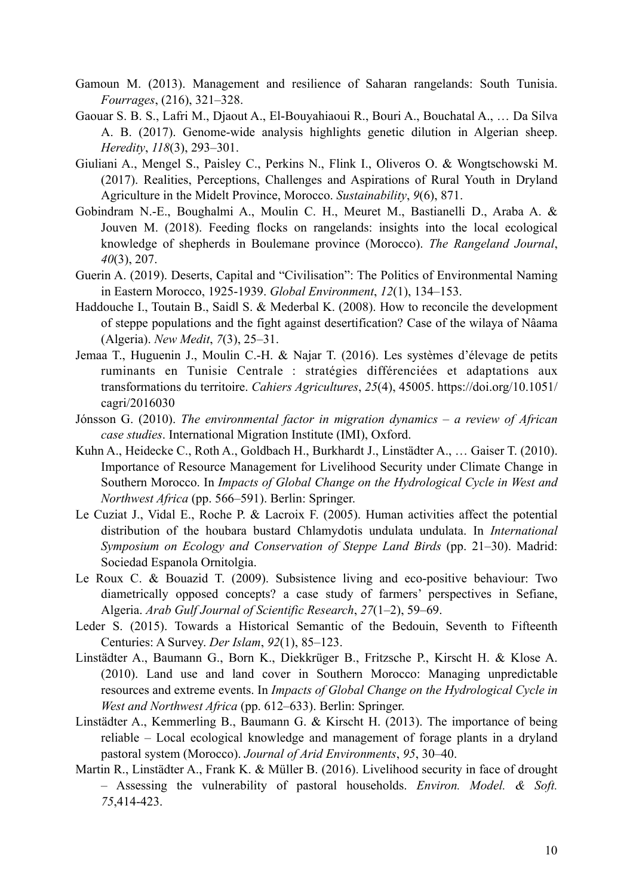- Gamoun M. (2013). Management and resilience of Saharan rangelands: South Tunisia. *Fourrages*, (216), 321–328.
- Gaouar S. B. S., Lafri M., Djaout A., El-Bouyahiaoui R., Bouri A., Bouchatal A., … Da Silva A. B. (2017). Genome-wide analysis highlights genetic dilution in Algerian sheep. *Heredity*, *118*(3), 293–301.
- Giuliani A., Mengel S., Paisley C., Perkins N., Flink I., Oliveros O. & Wongtschowski M. (2017). Realities, Perceptions, Challenges and Aspirations of Rural Youth in Dryland Agriculture in the Midelt Province, Morocco. *Sustainability*, *9*(6), 871.
- Gobindram N.-E., Boughalmi A., Moulin C. H., Meuret M., Bastianelli D., Araba A. & Jouven M. (2018). Feeding flocks on rangelands: insights into the local ecological knowledge of shepherds in Boulemane province (Morocco). *The Rangeland Journal*, *40*(3), 207.
- Guerin A. (2019). Deserts, Capital and "Civilisation": The Politics of Environmental Naming in Eastern Morocco, 1925-1939. *Global Environment*, *12*(1), 134–153.
- Haddouche I., Toutain B., Saidl S. & Mederbal K. (2008). How to reconcile the development of steppe populations and the fight against desertification? Case of the wilaya of Nâama (Algeria). *New Medit*, *7*(3), 25–31.
- Jemaa T., Huguenin J., Moulin C.-H. & Najar T. (2016). Les systèmes d'élevage de petits ruminants en Tunisie Centrale : stratégies différenciées et adaptations aux transformations du territoire. *Cahiers Agricultures*, *25*(4), 45005. https://doi.org/10.1051/ cagri/2016030
- Jónsson G. (2010). *The environmental factor in migration dynamics a review of African case studies*. International Migration Institute (IMI), Oxford.
- Kuhn A., Heidecke C., Roth A., Goldbach H., Burkhardt J., Linstädter A., … Gaiser T. (2010). Importance of Resource Management for Livelihood Security under Climate Change in Southern Morocco. In *Impacts of Global Change on the Hydrological Cycle in West and Northwest Africa* (pp. 566–591). Berlin: Springer.
- Le Cuziat J., Vidal E., Roche P. & Lacroix F. (2005). Human activities affect the potential distribution of the houbara bustard Chlamydotis undulata undulata. In *International Symposium on Ecology and Conservation of Steppe Land Birds* (pp. 21–30). Madrid: Sociedad Espanola Ornitolgia.
- Le Roux C. & Bouazid T. (2009). Subsistence living and eco-positive behaviour: Two diametrically opposed concepts? a case study of farmers' perspectives in Sefiane, Algeria. *Arab Gulf Journal of Scientific Research*, *27*(1–2), 59–69.
- Leder S. (2015). Towards a Historical Semantic of the Bedouin, Seventh to Fifteenth Centuries: A Survey. *Der Islam*, *92*(1), 85–123.
- Linstädter A., Baumann G., Born K., Diekkrüger B., Fritzsche P., Kirscht H. & Klose A. (2010). Land use and land cover in Southern Morocco: Managing unpredictable resources and extreme events. In *Impacts of Global Change on the Hydrological Cycle in West and Northwest Africa* (pp. 612–633). Berlin: Springer.
- Linstädter A., Kemmerling B., Baumann G. & Kirscht H. (2013). The importance of being reliable – Local ecological knowledge and management of forage plants in a dryland pastoral system (Morocco). *Journal of Arid Environments*, *95*, 30–40.
- Martin R., Linstädter A., Frank K. & Müller B. (2016). Livelihood security in face of drought – Assessing the vulnerability of pastoral households. *Environ. Model. & Soft. 75*,414-423.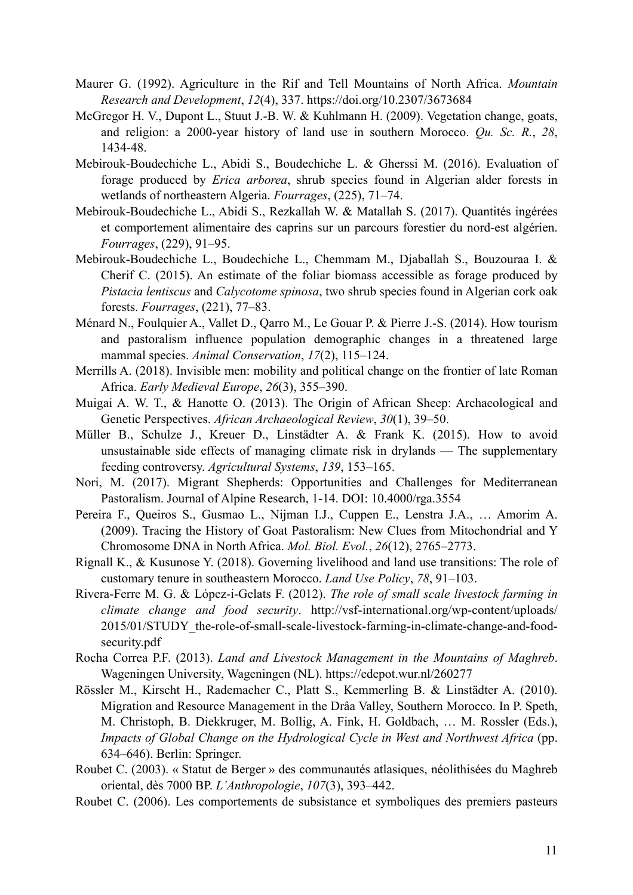- Maurer G. (1992). Agriculture in the Rif and Tell Mountains of North Africa. *Mountain Research and Development*, *12*(4), 337. https://doi.org/10.2307/3673684
- McGregor H. V., Dupont L., Stuut J.-B. W. & Kuhlmann H. (2009). Vegetation change, goats, and religion: a 2000-year history of land use in southern Morocco. *Qu. Sc. R.*, *28*, 1434-48.
- Mebirouk-Boudechiche L., Abidi S., Boudechiche L. & Gherssi M. (2016). Evaluation of forage produced by *Erica arborea*, shrub species found in Algerian alder forests in wetlands of northeastern Algeria. *Fourrages*, (225), 71–74.
- Mebirouk-Boudechiche L., Abidi S., Rezkallah W. & Matallah S. (2017). Quantités ingérées et comportement alimentaire des caprins sur un parcours forestier du nord-est algérien. *Fourrages*, (229), 91–95.
- Mebirouk-Boudechiche L., Boudechiche L., Chemmam M., Djaballah S., Bouzouraa I. & Cherif C. (2015). An estimate of the foliar biomass accessible as forage produced by *Pistacia lentiscus* and *Calycotome spinosa*, two shrub species found in Algerian cork oak forests. *Fourrages*, (221), 77–83.
- Ménard N., Foulquier A., Vallet D., Qarro M., Le Gouar P. & Pierre J.-S. (2014). How tourism and pastoralism influence population demographic changes in a threatened large mammal species. *Animal Conservation*, *17*(2), 115–124.
- Merrills A. (2018). Invisible men: mobility and political change on the frontier of late Roman Africa. *Early Medieval Europe*, *26*(3), 355–390.
- Muigai A. W. T., & Hanotte O. (2013). The Origin of African Sheep: Archaeological and Genetic Perspectives. *African Archaeological Review*, *30*(1), 39–50.
- Müller B., Schulze J., Kreuer D., Linstädter A. & Frank K. (2015). How to avoid unsustainable side effects of managing climate risk in drylands — The supplementary feeding controversy. *Agricultural Systems*, *139*, 153–165.
- Nori, M. (2017). Migrant Shepherds: Opportunities and Challenges for Mediterranean Pastoralism. Journal of Alpine Research, 1-14. DOI: 10.4000/rga.3554
- Pereira F., Queiros S., Gusmao L., Nijman I.J., Cuppen E., Lenstra J.A., … Amorim A. (2009). Tracing the History of Goat Pastoralism: New Clues from Mitochondrial and Y Chromosome DNA in North Africa. *Mol. Biol. Evol.*, *26*(12), 2765–2773.
- Rignall K., & Kusunose Y. (2018). Governing livelihood and land use transitions: The role of customary tenure in southeastern Morocco. *Land Use Policy*, *78*, 91–103.
- Rivera-Ferre M. G. & López-i-Gelats F. (2012). *The role of small scale livestock farming in climate change and food security*. http://vsf-international.org/wp-content/uploads/ 2015/01/STUDY\_the-role-of-small-scale-livestock-farming-in-climate-change-and-foodsecurity.pdf
- Rocha Correa P.F. (2013). *Land and Livestock Management in the Mountains of Maghreb*. Wageningen University, Wageningen (NL). https://edepot.wur.nl/260277
- Rössler M., Kirscht H., Rademacher C., Platt S., Kemmerling B. & Linstädter A. (2010). Migration and Resource Management in the Drâa Valley, Southern Morocco. In P. Speth, M. Christoph, B. Diekkruger, M. Bollig, A. Fink, H. Goldbach, … M. Rossler (Eds.), *Impacts of Global Change on the Hydrological Cycle in West and Northwest Africa* (pp. 634–646). Berlin: Springer.
- Roubet C. (2003). « Statut de Berger » des communautés atlasiques, néolithisées du Maghreb oriental, dès 7000 BP. *L'Anthropologie*, *107*(3), 393–442.
- Roubet C. (2006). Les comportements de subsistance et symboliques des premiers pasteurs